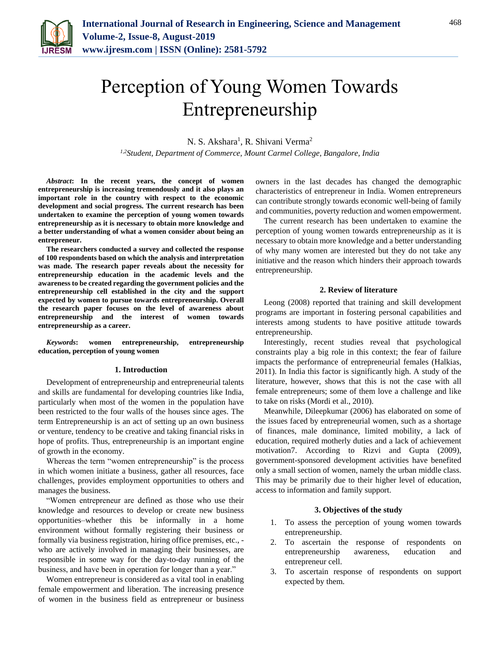

# Perception of Young Women Towards Entrepreneurship

N. S. Akshara<sup>1</sup>, R. Shivani Verma<sup>2</sup>

*1,2Student, Department of Commerce, Mount Carmel College, Bangalore, India*

*Abstract***: In the recent years, the concept of women entrepreneurship is increasing tremendously and it also plays an important role in the country with respect to the economic development and social progress. The current research has been undertaken to examine the perception of young women towards entrepreneurship as it is necessary to obtain more knowledge and a better understanding of what a women consider about being an entrepreneur.**

**The researchers conducted a survey and collected the response of 100 respondents based on which the analysis and interpretation was made. The research paper reveals about the necessity for entrepreneurship education in the academic levels and the awareness to be created regarding the government policies and the entrepreneurship cell established in the city and the support expected by women to pursue towards entrepreneurship. Overall the research paper focuses on the level of awareness about entrepreneurship and the interest of women towards entrepreneurship as a career.**

*Keywords***: women entrepreneurship, entrepreneurship education, perception of young women**

#### **1. Introduction**

Development of entrepreneurship and entrepreneurial talents and skills are fundamental for developing countries like India, particularly when most of the women in the population have been restricted to the four walls of the houses since ages. The term Entrepreneurship is an act of setting up an own business or venture, tendency to be creative and taking financial risks in hope of profits. Thus, entrepreneurship is an important engine of growth in the economy.

Whereas the term "women entrepreneurship" is the process in which women initiate a business, gather all resources, face challenges, provides employment opportunities to others and manages the business.

"Women entrepreneur are defined as those who use their knowledge and resources to develop or create new business opportunities–whether this be informally in a home environment without formally registering their business or formally via business registration, hiring office premises, etc., who are actively involved in managing their businesses, are responsible in some way for the day-to-day running of the business, and have been in operation for longer than a year."

Women entrepreneur is considered as a vital tool in enabling female empowerment and liberation. The increasing presence of women in the business field as entrepreneur or business

owners in the last decades has changed the demographic characteristics of entrepreneur in India. Women entrepreneurs can contribute strongly towards economic well-being of family and communities, poverty reduction and women empowerment.

The current research has been undertaken to examine the perception of young women towards entrepreneurship as it is necessary to obtain more knowledge and a better understanding of why many women are interested but they do not take any initiative and the reason which hinders their approach towards entrepreneurship.

#### **2. Review of literature**

Leong (2008) reported that training and skill development programs are important in fostering personal capabilities and interests among students to have positive attitude towards entrepreneurship.

Interestingly, recent studies reveal that psychological constraints play a big role in this context; the fear of failure impacts the performance of entrepreneurial females (Halkias, 2011). In India this factor is significantly high. A study of the literature, however, shows that this is not the case with all female entrepreneurs; some of them love a challenge and like to take on risks (Mordi et al., 2010).

Meanwhile, Dileepkumar (2006) has elaborated on some of the issues faced by entrepreneurial women, such as a shortage of finances, male dominance, limited mobility, a lack of education, required motherly duties and a lack of achievement motivation7. According to Rizvi and Gupta (2009), government-sponsored development activities have benefited only a small section of women, namely the urban middle class. This may be primarily due to their higher level of education, access to information and family support.

#### **3. Objectives of the study**

- 1. To assess the perception of young women towards entrepreneurship.
- 2. To ascertain the response of respondents on entrepreneurship awareness, education and entrepreneur cell.
- 3. To ascertain response of respondents on support expected by them.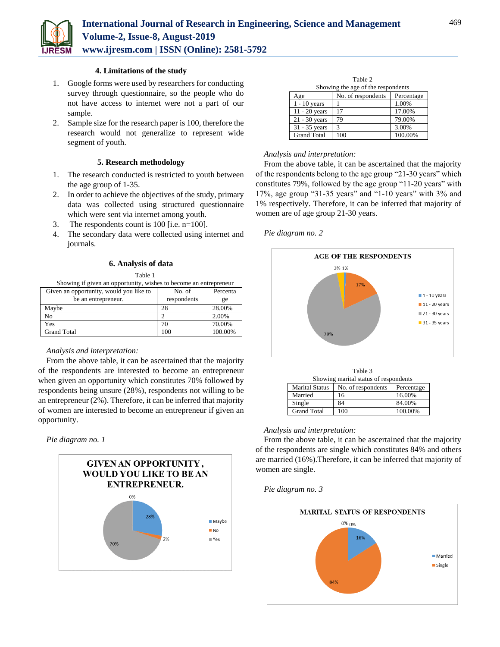

## **4. Limitations of the study**

- 1. Google forms were used by researchers for conducting survey through questionnaire, so the people who do not have access to internet were not a part of our sample.
- 2. Sample size for the research paper is 100, therefore the research would not generalize to represent wide segment of youth.

# **5. Research methodology**

- 1. The research conducted is restricted to youth between the age group of 1-35.
- 2. In order to achieve the objectives of the study, primary data was collected using structured questionnaire which were sent via internet among youth.
- 3. The respondents count is 100 [i.e. n=100].
- 4. The secondary data were collected using internet and journals.

#### **6. Analysis of data**

Table 1

Showing if given an opportunity, wishes to become an entrepreneur

| Given an opportunity, would you like to | No. of      | Percenta |
|-----------------------------------------|-------------|----------|
| be an entrepreneur.                     | respondents | ge       |
| Maybe                                   | 28          | 28.00%   |
| No                                      |             | 2.00%    |
| Yes                                     | 70          | 70.00%   |
| <b>Grand Total</b>                      | 100         | 100.00%  |

## *Analysis and interpretation:*

From the above table, it can be ascertained that the majority of the respondents are interested to become an entrepreneur when given an opportunity which constitutes 70% followed by respondents being unsure (28%), respondents not willing to be an entrepreneur (2%). Therefore, it can be inferred that majority of women are interested to become an entrepreneur if given an opportunity.

*Pie diagram no. 1*



| Table 2                                 |                                    |         |  |  |
|-----------------------------------------|------------------------------------|---------|--|--|
|                                         | Showing the age of the respondents |         |  |  |
| No. of respondents<br>Percentage<br>Age |                                    |         |  |  |
| $1 - 10$ years                          |                                    | 1.00%   |  |  |
| $11 - 20$ years                         | 17                                 | 17.00%  |  |  |
| $21 - 30$ years                         | 79                                 | 79.00%  |  |  |
| 31 - 35 years                           | 3                                  | 3.00%   |  |  |
| <b>Grand Total</b>                      | 100                                | 100.00% |  |  |

#### *Analysis and interpretation:*

From the above table, it can be ascertained that the majority of the respondents belong to the age group "21-30 years" which constitutes 79%, followed by the age group "11-20 years" with 17%, age group "31-35 years" and "1-10 years" with 3% and 1% respectively. Therefore, it can be inferred that majority of women are of age group 21-30 years.

## *Pie diagram no. 2*



Table 3 Showing marital status of respondents

| <b>Marital Status</b> | No. of respondents | Percentage |
|-----------------------|--------------------|------------|
| Married               | 16                 | 16.00%     |
| Single                | 84                 | 84.00%     |
| <b>Grand Total</b>    | 100                | 100.00%    |

## *Analysis and interpretation:*

From the above table, it can be ascertained that the majority of the respondents are single which constitutes 84% and others are married (16%).Therefore, it can be inferred that majority of women are single.

*Pie diagram no. 3*

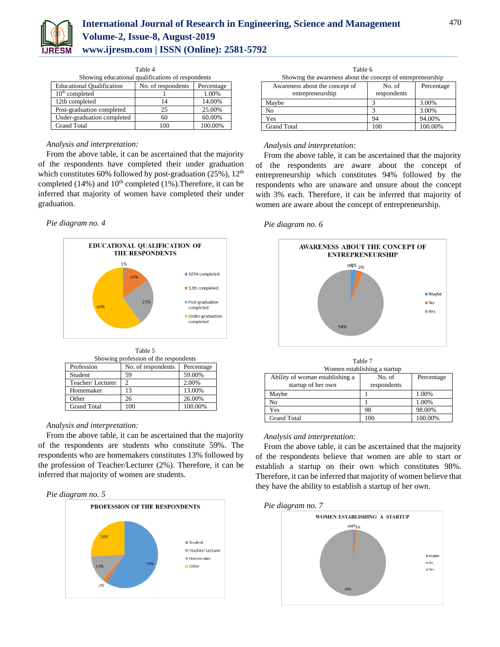

# **International Journal of Research in Engineering, Science and Management Volume-2, Issue-8, August-2019 www.ijresm.com | ISSN (Online): 2581-5792**

| Table 4                                                              |     |         |  |
|----------------------------------------------------------------------|-----|---------|--|
| Showing educational qualifications of respondents                    |     |         |  |
| No. of respondents<br><b>Educational Qualification</b><br>Percentage |     |         |  |
| $10th$ completed                                                     |     | 1.00%   |  |
| 12th completed                                                       | 14  | 14.00%  |  |
| Post-graduation completed                                            | 25  | 25.00%  |  |
| Under-graduation completed                                           | 60  | 60.00%  |  |
| <b>Grand Total</b>                                                   | 100 | 100.00% |  |

# $T = 114$

### *Analysis and interpretation:*

From the above table, it can be ascertained that the majority of the respondents have completed their under graduation which constitutes 60% followed by post-graduation  $(25\%)$ ,  $12<sup>th</sup>$ completed (14%) and  $10^{th}$  completed (1%). Therefore, it can be inferred that majority of women have completed their under graduation.

#### *Pie diagram no. 4*



Table 5

| Showing profession of the respondents |                    |            |  |
|---------------------------------------|--------------------|------------|--|
| Profession                            | No. of respondents | Percentage |  |
| Student                               | 59                 | 59.00%     |  |
| Teacher/Lecturer                      |                    | 2.00%      |  |
| Homemaker                             | 13                 | 13.00%     |  |
| Other                                 | 26                 | 26.00%     |  |
| <b>Grand Total</b>                    | 100                | 100.00%    |  |

## *Analysis and interpretation:*

From the above table, it can be ascertained that the majority of the respondents are students who constitute 59%. The respondents who are homemakers constitutes 13% followed by the profession of Teacher/Lecturer (2%). Therefore, it can be inferred that majority of women are students.

# *Pie diagram no. 5*



Table 6 Showing the awareness about the concept of entrepreneurship

| showing the awareness about the concept of entrepreneurship |             |            |  |
|-------------------------------------------------------------|-------------|------------|--|
| Awareness about the concept of                              | No. of      | Percentage |  |
| entrepreneurship                                            | respondents |            |  |
| Maybe                                                       |             | 3.00%      |  |
| No                                                          |             | 3.00%      |  |
| Yes                                                         | 94          | 94.00%     |  |
| <b>Grand Total</b>                                          | 100         | 100.00%    |  |

# *Analysis and interpretation:*

From the above table, it can be ascertained that the majority of the respondents are aware about the concept of entrepreneurship which constitutes 94% followed by the respondents who are unaware and unsure about the concept with 3% each. Therefore, it can be inferred that majority of women are aware about the concept of entrepreneurship.

## *Pie diagram no. 6*



Table 7 Women establishing a startup

| Ability of woman establishing a<br>startup of her own | No. of<br>respondents | Percentage |
|-------------------------------------------------------|-----------------------|------------|
| Maybe                                                 |                       | 1.00%      |
| No                                                    |                       | 1.00%      |
| Yes                                                   | 98                    | 98.00%     |
| <b>Grand Total</b>                                    | 100                   | 100.00%    |

## *Analysis and interpretation:*

From the above table, it can be ascertained that the majority of the respondents believe that women are able to start or establish a startup on their own which constitutes 98%. Therefore, it can be inferred that majority of women believe that they have the ability to establish a startup of her own.

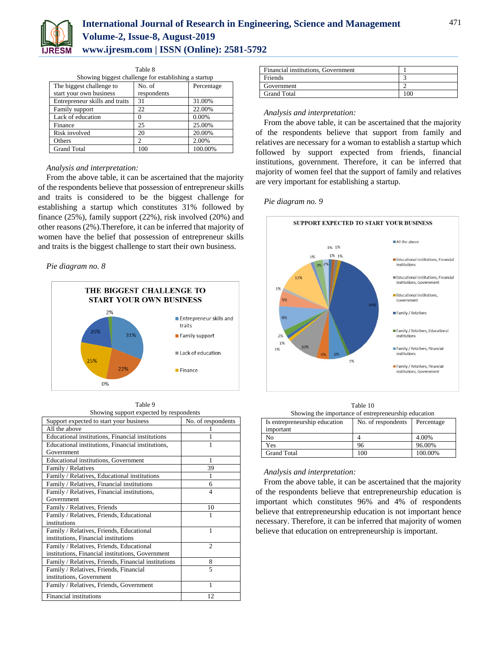

# **International Journal of Research in Engineering, Science and Management Volume-2, Issue-8, August-2019 www.ijresm.com | ISSN (Online): 2581-5792**

| Table 8                                              |             |            |
|------------------------------------------------------|-------------|------------|
| Showing biggest challenge for establishing a startup |             |            |
| The biggest challenge to                             | No. of      | Percentage |
| start your own business                              | respondents |            |
| Entrepreneur skills and traits                       | 31          | 31.00%     |
| Family support                                       | 22          | 22.00%     |
| Lack of education                                    |             | 0.00%      |
| Finance                                              | 25          | 25.00%     |
| Risk involved                                        | 20          | 20.00%     |
| Others                                               | 2           | 2.00%      |
| <b>Grand Total</b>                                   | 100         | 100.00%    |

## *Analysis and interpretation:*

From the above table, it can be ascertained that the majority of the respondents believe that possession of entrepreneur skills and traits is considered to be the biggest challenge for establishing a startup which constitutes 31% followed by finance (25%), family support (22%), risk involved (20%) and other reasons (2%).Therefore, it can be inferred that majority of women have the belief that possession of entrepreneur skills and traits is the biggest challenge to start their own business.

#### *Pie diagram no. 8*



Table 9

| Showing support expected by respondents             |                    |  |
|-----------------------------------------------------|--------------------|--|
| Support expected to start your business             | No. of respondents |  |
| All the above                                       |                    |  |
| Educational institutions, Financial institutions    |                    |  |
| Educational institutions, Financial institutions,   |                    |  |
| Government                                          |                    |  |
| <b>Educational institutions, Government</b>         | 1                  |  |
| Family / Relatives                                  | 39                 |  |
| Family / Relatives, Educational institutions        | 1                  |  |
| Family / Relatives, Financial institutions          | 6                  |  |
| Family / Relatives, Financial institutions,         | 4                  |  |
| Government                                          |                    |  |
| Family / Relatives, Friends                         | 10                 |  |
| Family / Relatives, Friends, Educational            | 1                  |  |
| institutions                                        |                    |  |
| Family / Relatives, Friends, Educational            | 1                  |  |
| institutions, Financial institutions                |                    |  |
| Family / Relatives, Friends, Educational            | $\mathfrak{D}$     |  |
| institutions, Financial institutions, Government    |                    |  |
| Family / Relatives, Friends, Financial institutions | 8                  |  |
| Family / Relatives, Friends, Financial              | 5                  |  |
| institutions, Government                            |                    |  |
| Family / Relatives, Friends, Government             | 1                  |  |
| Financial institutions                              | 12                 |  |

| Financial institutions, Government |  |
|------------------------------------|--|
| Friends                            |  |
| Government                         |  |
| <b>Grand Total</b>                 |  |

#### *Analysis and interpretation:*

From the above table, it can be ascertained that the majority of the respondents believe that support from family and relatives are necessary for a woman to establish a startup which followed by support expected from friends, financial institutions, government. Therefore, it can be inferred that majority of women feel that the support of family and relatives are very important for establishing a startup.

#### *Pie diagram no. 9*



Table 10 Showing the importance of entrepreneurship education

| Is entrepreneurship education | No. of respondents | Percentage |
|-------------------------------|--------------------|------------|
| important                     |                    |            |
| Nο                            |                    | 4.00%      |
| Yes                           | 96                 | 96.00%     |
| <b>Grand Total</b>            | 100                | 100.00%    |

## *Analysis and interpretation:*

From the above table, it can be ascertained that the majority of the respondents believe that entrepreneurship education is important which constitutes 96% and 4% of respondents believe that entrepreneurship education is not important hence necessary. Therefore, it can be inferred that majority of women believe that education on entrepreneurship is important.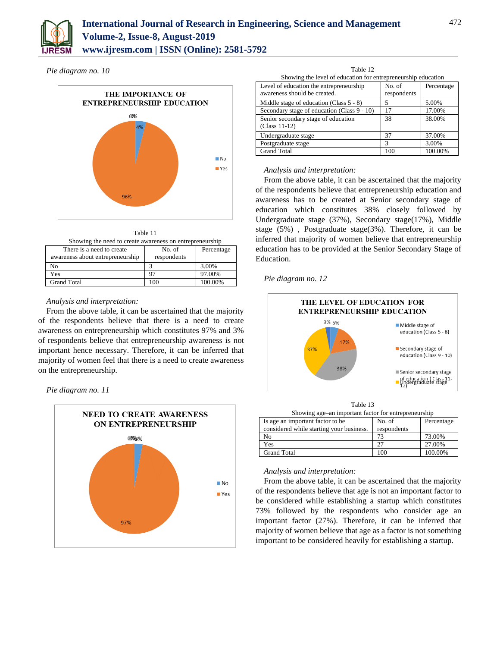

*Pie diagram no. 10*



Table 11

| Showing the need to create awareness on entrepreneurship |             |         |  |
|----------------------------------------------------------|-------------|---------|--|
| There is a need to create<br>No. of<br>Percentage        |             |         |  |
| awareness about entrepreneurship                         | respondents |         |  |
| No                                                       |             | 3.00%   |  |
| Yes                                                      |             | 97.00%  |  |
| <b>Grand Total</b>                                       | 100         | 100.00% |  |

# *Analysis and interpretation:*

From the above table, it can be ascertained that the majority of the respondents believe that there is a need to create awareness on entrepreneurship which constitutes 97% and 3% of respondents believe that entrepreneurship awareness is not important hence necessary. Therefore, it can be inferred that majority of women feel that there is a need to create awareness on the entrepreneurship.

*Pie diagram no. 11*



Table 12

| Showing the level of education for entrepreneurship education |             |            |  |  |
|---------------------------------------------------------------|-------------|------------|--|--|
| Level of education the entrepreneurship                       | No. of      | Percentage |  |  |
| awareness should be created.                                  | respondents |            |  |  |
| Middle stage of education (Class $5 - 8$ )                    | 5           | 5.00%      |  |  |
| Secondary stage of education (Class 9 - 10)                   | 17          | 17.00%     |  |  |
| Senior secondary stage of education                           | 38          | 38.00%     |  |  |
| (Class 11-12)                                                 |             |            |  |  |
| Undergraduate stage                                           | 37          | 37.00%     |  |  |
| Postgraduate stage                                            | 3           | 3.00%      |  |  |
| <b>Grand Total</b>                                            | 100         | 100.00%    |  |  |

*Analysis and interpretation:*

From the above table, it can be ascertained that the majority of the respondents believe that entrepreneurship education and awareness has to be created at Senior secondary stage of education which constitutes 38% closely followed by Undergraduate stage (37%), Secondary stage(17%), Middle stage (5%) , Postgraduate stage(3%). Therefore, it can be inferred that majority of women believe that entrepreneurship education has to be provided at the Senior Secondary Stage of Education.

*Pie diagram no. 12*



Table 13 Showing age–an important factor for entrepreneurship

| Is age an important factor to be.        | No. of      | Percentage |  |  |
|------------------------------------------|-------------|------------|--|--|
| considered while starting your business. | respondents |            |  |  |
| No                                       |             | 73.00%     |  |  |
| Yes                                      |             | 27.00%     |  |  |
| <b>Grand Total</b>                       | 100         | 100.00%    |  |  |

# *Analysis and interpretation:*

From the above table, it can be ascertained that the majority of the respondents believe that age is not an important factor to be considered while establishing a startup which constitutes 73% followed by the respondents who consider age an important factor (27%). Therefore, it can be inferred that majority of women believe that age as a factor is not something important to be considered heavily for establishing a startup.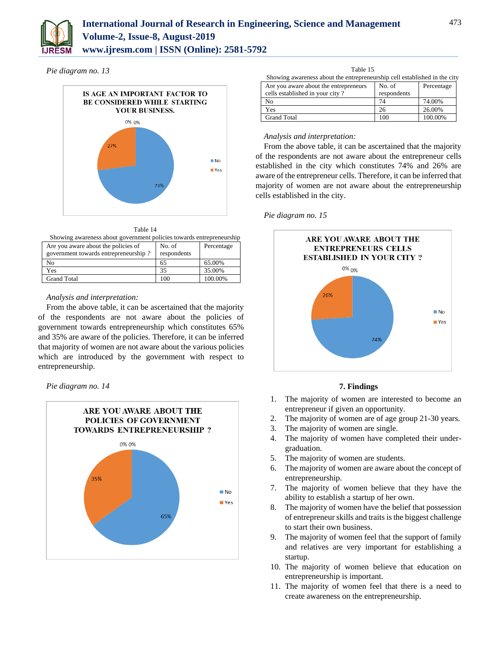

*Pie diagram no. 13*





| Showing awareness about government policies towards entrepreneurship |             |            |  |  |
|----------------------------------------------------------------------|-------------|------------|--|--|
| Are you aware about the policies of                                  | No. of      | Percentage |  |  |
| government towards entrepreneurship?                                 | respondents |            |  |  |
| No                                                                   | 65          | 65.00%     |  |  |
| Yes                                                                  | 35          | 35.00%     |  |  |
| <b>Grand Total</b>                                                   | 100         | 100.00%    |  |  |

# *Analysis and interpretation:*

From the above table, it can be ascertained that the majority of the respondents are not aware about the policies of government towards entrepreneurship which constitutes 65% and 35% are aware of the policies. Therefore, it can be inferred that majority of women are not aware about the various policies which are introduced by the government with respect to entrepreneurship.

*Pie diagram no. 14*



| Showing awareness about the entrepreneurship cell established in the city |             |            |  |  |
|---------------------------------------------------------------------------|-------------|------------|--|--|
| Are you aware about the entrepreneurs                                     | No. of      | Percentage |  |  |
| cells established in your city?                                           | respondents |            |  |  |
| N <sub>0</sub>                                                            | 74          | 74.00%     |  |  |
| Yes                                                                       | 26          | 26.00%     |  |  |
| <b>Grand Total</b>                                                        | 100         | 100.00%    |  |  |

# *Analysis and interpretation:*

From the above table, it can be ascertained that the majority of the respondents are not aware about the entrepreneur cells established in the city which constitutes 74% and 26% are aware of the entrepreneur cells. Therefore, it can be inferred that majority of women are not aware about the entrepreneurship cells established in the city.

# *Pie diagram no. 15*



# **7. Findings**

- 1. The majority of women are interested to become an entrepreneur if given an opportunity.
- 2. The majority of women are of age group 21-30 years.
- 3. The majority of women are single.
- 4. The majority of women have completed their undergraduation.
- 5. The majority of women are students.
- 6. The majority of women are aware about the concept of entrepreneurship.
- 7. The majority of women believe that they have the ability to establish a startup of her own.
- 8. The majority of women have the belief that possession of entrepreneur skills and traits is the biggest challenge to start their own business.
- 9. The majority of women feel that the support of family and relatives are very important for establishing a startup.
- 10. The majority of women believe that education on entrepreneurship is important.
- 11. The majority of women feel that there is a need to create awareness on the entrepreneurship.